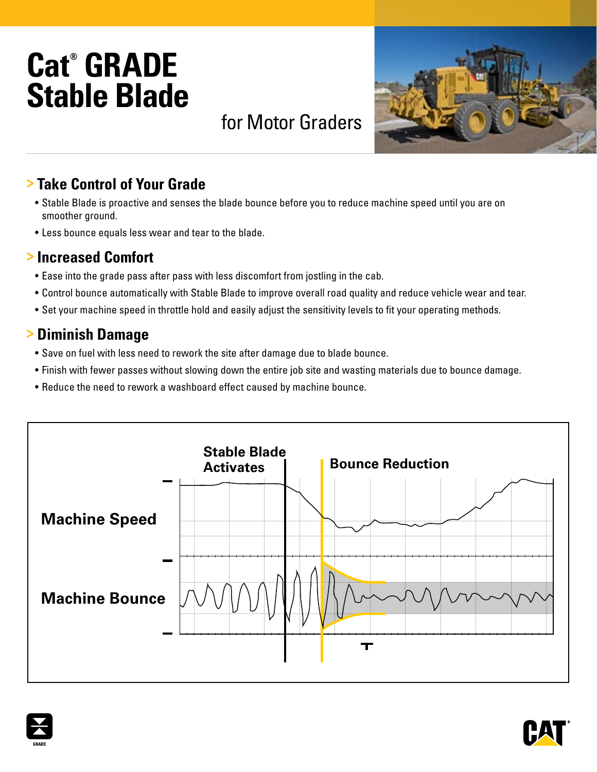# **Cat® GRADE Stable Blade**

## for Motor Graders

### **> Take Control of Your Grade**

- Stable Blade is proactive and senses the blade bounce before you to reduce machine speed until you are on smoother ground.
- Less bounce equals less wear and tear to the blade.

#### **> Increased Comfort**

- Ease into the grade pass after pass with less discomfort from jostling in the cab.
- Control bounce automatically with Stable Blade to improve overall road quality and reduce vehicle wear and tear.
- Set your machine speed in throttle hold and easily adjust the sensitivity levels to fit your operating methods.

#### **> Diminish Damage**

- Save on fuel with less need to rework the site after damage due to blade bounce.
- Finish with fewer passes without slowing down the entire job site and wasting materials due to bounce damage.
- Reduce the need to rework a washboard effect caused by machine bounce.